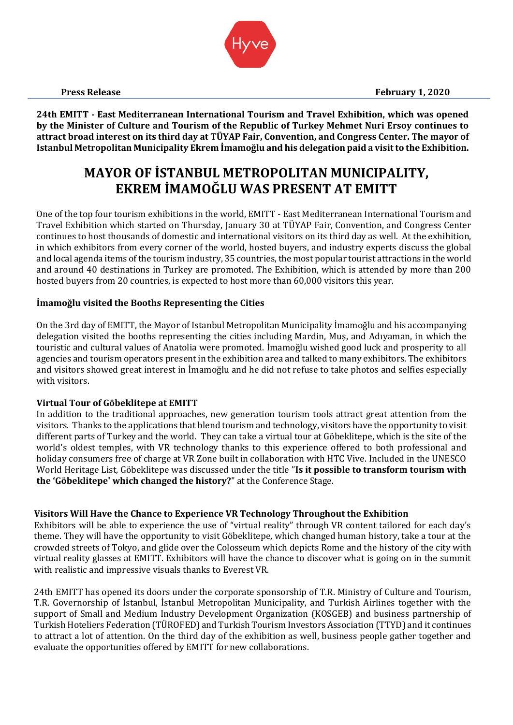**24th EMITT - East Mediterranean International Tourism and Travel Exhibition, which was opened by the Minister of Culture and Tourism of the Republic of Turkey Mehmet Nuri Ersoy continues to attract broad interest on its third day at TÜYAP Fair, Convention, and Congress Center. The mayor of Istanbul Metropolitan Municipality Ekrem İmamoğlu and his delegation paid a visit to the Exhibition.** 

# **MAYOR OF İSTANBUL METROPOLITAN MUNICIPALITY, EKREM İMAMOĞLU WAS PRESENT AT EMITT**

One of the top four tourism exhibitions in the world, EMITT - East Mediterranean International Tourism and Travel Exhibition which started on Thursday, January 30 at TÜYAP Fair, Convention, and Congress Center continues to host thousands of domestic and international visitors on its third day as well. At the exhibition, in which exhibitors from every corner of the world, hosted buyers, and industry experts discuss the global and local agenda items of the tourism industry, 35 countries, the most popular tourist attractions in the world and around 40 destinations in Turkey are promoted. The Exhibition, which is attended by more than 200 hosted buyers from 20 countries, is expected to host more than 60,000 visitors this year.

## **İmamoğlu visited the Booths Representing the Cities**

On the 3rd day of EMITT, the Mayor of Istanbul Metropolitan Municipality İmamoğlu and his accompanying delegation visited the booths representing the cities including Mardin, Muş, and Adıyaman, in which the touristic and cultural values of Anatolia were promoted. İmamoğlu wished good luck and prosperity to all agencies and tourism operators present in the exhibition area and talked to many exhibitors. The exhibitors and visitors showed great interest in İmamoğlu and he did not refuse to take photos and selfies especially with visitors.

## **Virtual Tour of Göbeklitepe at EMITT**

In addition to the traditional approaches, new generation tourism tools attract great attention from the visitors. Thanks to the applications that blend tourism and technology, visitors have the opportunity to visit different parts of Turkey and the world. They can take a virtual tour at Göbeklitepe, which is the site of the world's oldest temples, with VR technology thanks to this experience offered to both professional and holiday consumers free of charge at VR Zone built in collaboration with HTC Vive. Included in the UNESCO World Heritage List, Göbeklitepe was discussed under the title "**Is it possible to transform tourism with the 'Göbeklitepe' which changed the history?**" at the Conference Stage.

# **Visitors Will Have the Chance to Experience VR Technology Throughout the Exhibition**

Exhibitors will be able to experience the use of "virtual reality" through VR content tailored for each day's theme. They will have the opportunity to visit Göbeklitepe, which changed human history, take a tour at the crowded streets of Tokyo, and glide over the Colosseum which depicts Rome and the history of the city with virtual reality glasses at EMITT. Exhibitors will have the chance to discover what is going on in the summit with realistic and impressive visuals thanks to Everest VR.

24th EMITT has opened its doors under the corporate sponsorship of T.R. Ministry of Culture and Tourism, T.R. Governorship of İstanbul, İstanbul Metropolitan Municipality, and Turkish Airlines together with the support of Small and Medium Industry Development Organization (KOSGEB) and business partnership of Turkish Hoteliers Federation (TÜROFED) and Turkish Tourism Investors Association (TTYD) and it continues to attract a lot of attention. On the third day of the exhibition as well, business people gather together and evaluate the opportunities offered by EMITT for new collaborations.